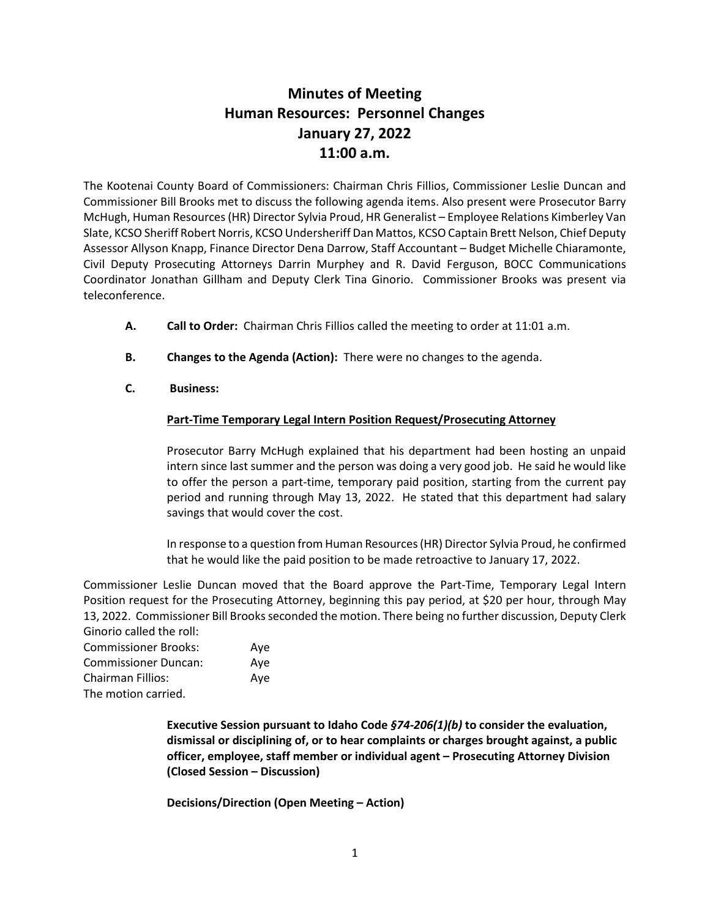# **Minutes of Meeting Human Resources: Personnel Changes January 27, 2022 11:00 a.m.**

The Kootenai County Board of Commissioners: Chairman Chris Fillios, Commissioner Leslie Duncan and Commissioner Bill Brooks met to discuss the following agenda items. Also present were Prosecutor Barry McHugh, Human Resources (HR) Director Sylvia Proud, HR Generalist – Employee Relations Kimberley Van Slate, KCSO Sheriff Robert Norris, KCSO Undersheriff Dan Mattos, KCSO Captain Brett Nelson, Chief Deputy Assessor Allyson Knapp, Finance Director Dena Darrow, Staff Accountant – Budget Michelle Chiaramonte, Civil Deputy Prosecuting Attorneys Darrin Murphey and R. David Ferguson, BOCC Communications Coordinator Jonathan Gillham and Deputy Clerk Tina Ginorio. Commissioner Brooks was present via teleconference.

- **A. Call to Order:** Chairman Chris Fillios called the meeting to order at 11:01 a.m.
- **B. Changes to the Agenda (Action):** There were no changes to the agenda.
- **C. Business:**

# **Part-Time Temporary Legal Intern Position Request/Prosecuting Attorney**

Prosecutor Barry McHugh explained that his department had been hosting an unpaid intern since last summer and the person was doing a very good job. He said he would like to offer the person a part-time, temporary paid position, starting from the current pay period and running through May 13, 2022. He stated that this department had salary savings that would cover the cost.

In response to a question from Human Resources (HR) Director Sylvia Proud, he confirmed that he would like the paid position to be made retroactive to January 17, 2022.

Commissioner Leslie Duncan moved that the Board approve the Part-Time, Temporary Legal Intern Position request for the Prosecuting Attorney, beginning this pay period, at \$20 per hour, through May 13, 2022. Commissioner Bill Brooks seconded the motion. There being no further discussion, Deputy Clerk Ginorio called the roll:

| <b>Commissioner Brooks:</b>                  | Ave |
|----------------------------------------------|-----|
| <b>Commissioner Duncan:</b>                  | Ave |
| Chairman Fillios:                            | Aye |
| المتحادث والمتحدث والقادر والمستحدث والتنافذ |     |

The motion carried.

**Executive Session pursuant to Idaho Code** *§74-206(1)(b)* **to consider the evaluation, dismissal or disciplining of, or to hear complaints or charges brought against, a public officer, employee, staff member or individual agent – Prosecuting Attorney Division (Closed Session – Discussion)**

**Decisions/Direction (Open Meeting – Action)**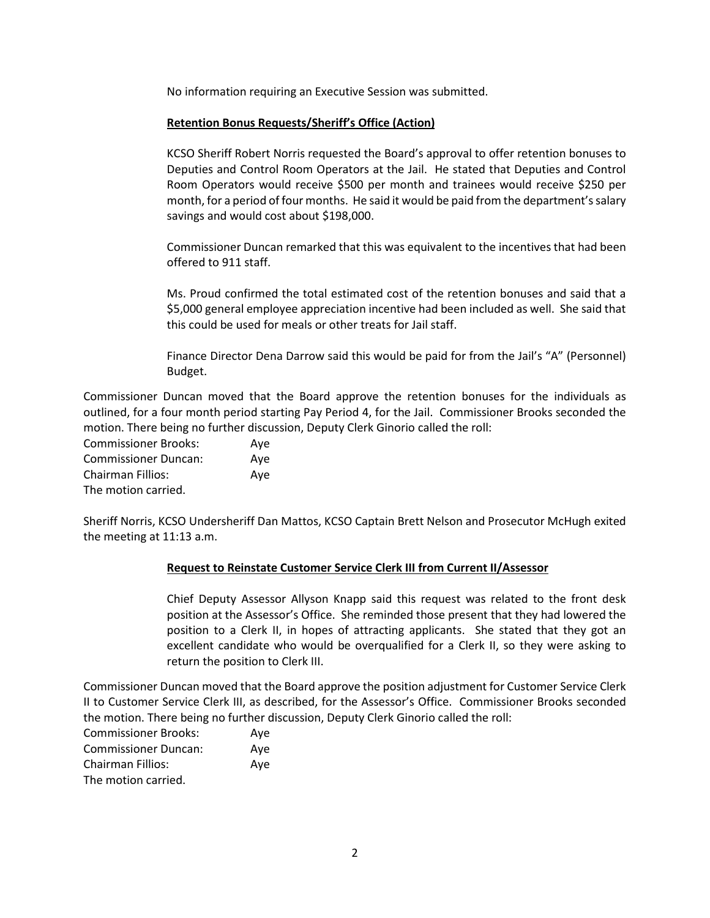No information requiring an Executive Session was submitted.

### **Retention Bonus Requests/Sheriff's Office (Action)**

KCSO Sheriff Robert Norris requested the Board's approval to offer retention bonuses to Deputies and Control Room Operators at the Jail. He stated that Deputies and Control Room Operators would receive \$500 per month and trainees would receive \$250 per month, for a period of four months. He said it would be paid from the department's salary savings and would cost about \$198,000.

Commissioner Duncan remarked that this was equivalent to the incentives that had been offered to 911 staff.

Ms. Proud confirmed the total estimated cost of the retention bonuses and said that a \$5,000 general employee appreciation incentive had been included as well. She said that this could be used for meals or other treats for Jail staff.

Finance Director Dena Darrow said this would be paid for from the Jail's "A" (Personnel) Budget.

Commissioner Duncan moved that the Board approve the retention bonuses for the individuals as outlined, for a four month period starting Pay Period 4, for the Jail. Commissioner Brooks seconded the motion. There being no further discussion, Deputy Clerk Ginorio called the roll:

Commissioner Brooks: Aye Commissioner Duncan: Aye Chairman Fillios: Aye The motion carried.

Sheriff Norris, KCSO Undersheriff Dan Mattos, KCSO Captain Brett Nelson and Prosecutor McHugh exited the meeting at 11:13 a.m.

#### **Request to Reinstate Customer Service Clerk III from Current II/Assessor**

Chief Deputy Assessor Allyson Knapp said this request was related to the front desk position at the Assessor's Office. She reminded those present that they had lowered the position to a Clerk II, in hopes of attracting applicants. She stated that they got an excellent candidate who would be overqualified for a Clerk II, so they were asking to return the position to Clerk III.

Commissioner Duncan moved that the Board approve the position adjustment for Customer Service Clerk II to Customer Service Clerk III, as described, for the Assessor's Office. Commissioner Brooks seconded the motion. There being no further discussion, Deputy Clerk Ginorio called the roll:

| <b>Commissioner Brooks:</b> | Ave |
|-----------------------------|-----|
| <b>Commissioner Duncan:</b> | Ave |
| <b>Chairman Fillios:</b>    | Ave |
| The motion carried.         |     |